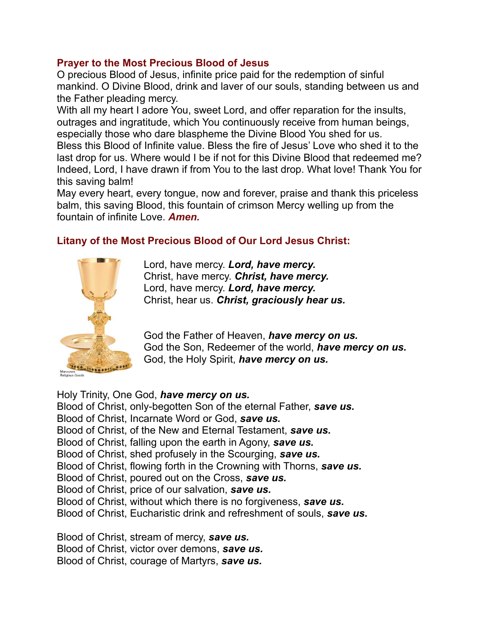## **Prayer to the Most Precious Blood of Jesus**

O precious Blood of Jesus, infinite price paid for the redemption of sinful mankind. O Divine Blood, drink and laver of our souls, standing between us and the Father pleading mercy.

With all my heart I adore You, sweet Lord, and offer reparation for the insults, outrages and ingratitude, which You continuously receive from human beings, especially those who dare blaspheme the Divine Blood You shed for us.

Bless this Blood of Infinite value. Bless the fire of Jesus' Love who shed it to the last drop for us. Where would I be if not for this Divine Blood that redeemed me? Indeed, Lord, I have drawn if from You to the last drop. What love! Thank You for this saving balm!

May every heart, every tongue, now and forever, praise and thank this priceless balm, this saving Blood, this fountain of crimson Mercy welling up from the fountain of infinite Love. *Amen.*

## **Litany of the Most Precious Blood of Our Lord Jesus Christ:**



Lord, have mercy. *Lord, have mercy.* Christ, have mercy. *Christ, have mercy.* Lord, have mercy. *Lord, have mercy.* Christ, hear us. *Christ, graciously hear us.*

God the Father of Heaven, *have mercy on us.* God the Son, Redeemer of the world, *have mercy on us.* God, the Holy Spirit, *have mercy on us.*

Holy Trinity, One God, *have mercy on us.* Blood of Christ, only-begotten Son of the eternal Father, *save us.* Blood of Christ, Incarnate Word or God, *save us.* Blood of Christ, of the New and Eternal Testament, *save us.* Blood of Christ, falling upon the earth in Agony, *save us.* Blood of Christ, shed profusely in the Scourging, *save us.* Blood of Christ, flowing forth in the Crowning with Thorns, *save us.* Blood of Christ, poured out on the Cross, *save us.* Blood of Christ, price of our salvation, *save us.* Blood of Christ, without which there is no forgiveness, *save us.* Blood of Christ, Eucharistic drink and refreshment of souls, *save us.*

Blood of Christ, stream of mercy, *save us.* Blood of Christ, victor over demons, *save us.* Blood of Christ, courage of Martyrs, *save us.*